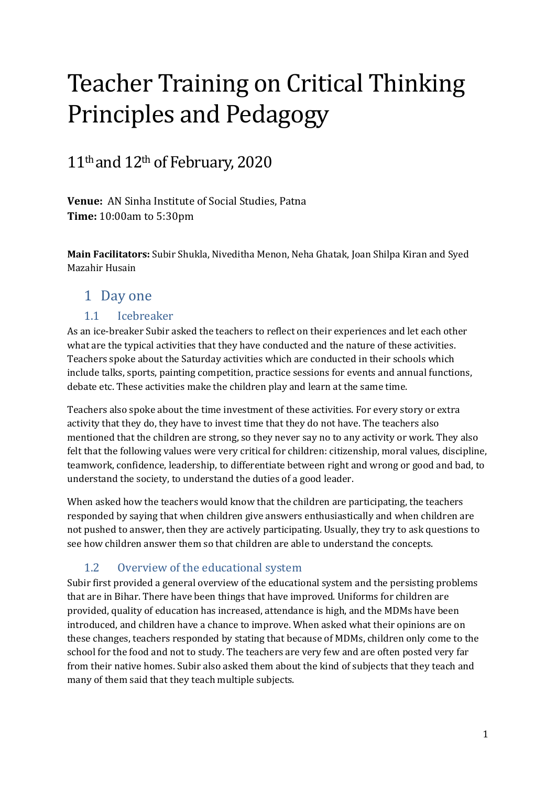# Teacher Training on Critical Thinking Principles and Pedagogy

## 11th and 12th of February, 2020

**Venue:** AN Sinha Institute of Social Studies, Patna **Time:** 10:00am to 5:30pm

**Main Facilitators:** Subir Shukla, Niveditha Menon, Neha Ghatak, Joan Shilpa Kiran and Syed Mazahir Husain

#### 1 Day one

#### 1.1 Icebreaker

As an ice-breaker Subir asked the teachers to reflect on their experiences and let each other what are the typical activities that they have conducted and the nature of these activities. Teachers spoke about the Saturday activities which are conducted in their schools which include talks, sports, painting competition, practice sessions for events and annual functions, debate etc. These activities make the children play and learn at the same time.

Teachers also spoke about the time investment of these activities. For every story or extra activity that they do, they have to invest time that they do not have. The teachers also mentioned that the children are strong, so they never say no to any activity or work. They also felt that the following values were very critical for children: citizenship, moral values, discipline, teamwork, confidence, leadership, to differentiate between right and wrong or good and bad, to understand the society, to understand the duties of a good leader.

When asked how the teachers would know that the children are participating, the teachers responded by saying that when children give answers enthusiastically and when children are not pushed to answer, then they are actively participating. Usually, they try to ask questions to see how children answer them so that children are able to understand the concepts.

#### 1.2 Overview of the educational system

Subir first provided a general overview of the educational system and the persisting problems that are in Bihar. There have been things that have improved. Uniforms for children are provided, quality of education has increased, attendance is high, and the MDMs have been introduced, and children have a chance to improve. When asked what their opinions are on these changes, teachers responded by stating that because of MDMs, children only come to the school for the food and not to study. The teachers are very few and are often posted very far from their native homes. Subir also asked them about the kind of subjects that they teach and many of them said that they teach multiple subjects.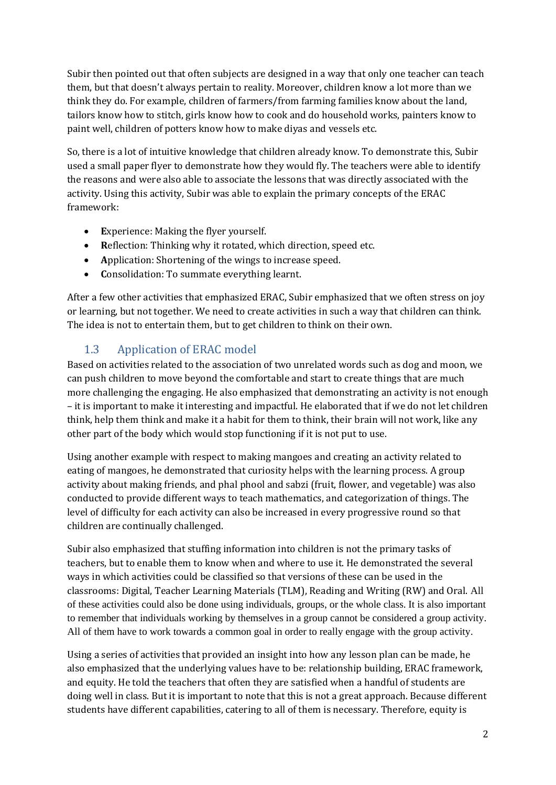Subir then pointed out that often subjects are designed in a way that only one teacher can teach them, but that doesn't always pertain to reality. Moreover, children know a lot more than we think they do. For example, children of farmers/from farming families know about the land, tailors know how to stitch, girls know how to cook and do household works, painters know to paint well, children of potters know how to make diyas and vessels etc.

So, there is a lot of intuitive knowledge that children already know. To demonstrate this, Subir used a small paper flyer to demonstrate how they would fly. The teachers were able to identify the reasons and were also able to associate the lessons that was directly associated with the activity. Using this activity, Subir was able to explain the primary concepts of the ERAC framework:

- **E**xperience: Making the flyer yourself.
- **R**eflection: Thinking why it rotated, which direction, speed etc.
- **A**pplication: Shortening of the wings to increase speed.
- **C**onsolidation: To summate everything learnt.

After a few other activities that emphasized ERAC, Subir emphasized that we often stress on joy or learning, but not together. We need to create activities in such a way that children can think. The idea is not to entertain them, but to get children to think on their own.

#### 1.3 Application of ERAC model

Based on activities related to the association of two unrelated words such as dog and moon, we can push children to move beyond the comfortable and start to create things that are much more challenging the engaging. He also emphasized that demonstrating an activity is not enough – it is important to make it interesting and impactful. He elaborated that if we do not let children think, help them think and make it a habit for them to think, their brain will not work, like any other part of the body which would stop functioning if it is not put to use.

Using another example with respect to making mangoes and creating an activity related to eating of mangoes, he demonstrated that curiosity helps with the learning process. A group activity about making friends, and phal phool and sabzi (fruit, flower, and vegetable) was also conducted to provide different ways to teach mathematics, and categorization of things. The level of difficulty for each activity can also be increased in every progressive round so that children are continually challenged.

Subir also emphasized that stuffing information into children is not the primary tasks of teachers, but to enable them to know when and where to use it. He demonstrated the several ways in which activities could be classified so that versions of these can be used in the classrooms: Digital, Teacher Learning Materials (TLM), Reading and Writing (RW) and Oral. All of these activities could also be done using individuals, groups, or the whole class. It is also important to remember that individuals working by themselves in a group cannot be considered a group activity. All of them have to work towards a common goal in order to really engage with the group activity.

Using a series of activities that provided an insight into how any lesson plan can be made, he also emphasized that the underlying values have to be: relationship building, ERAC framework, and equity. He told the teachers that often they are satisfied when a handful of students are doing well in class. But it is important to note that this is not a great approach. Because different students have different capabilities, catering to all of them is necessary. Therefore, equity is